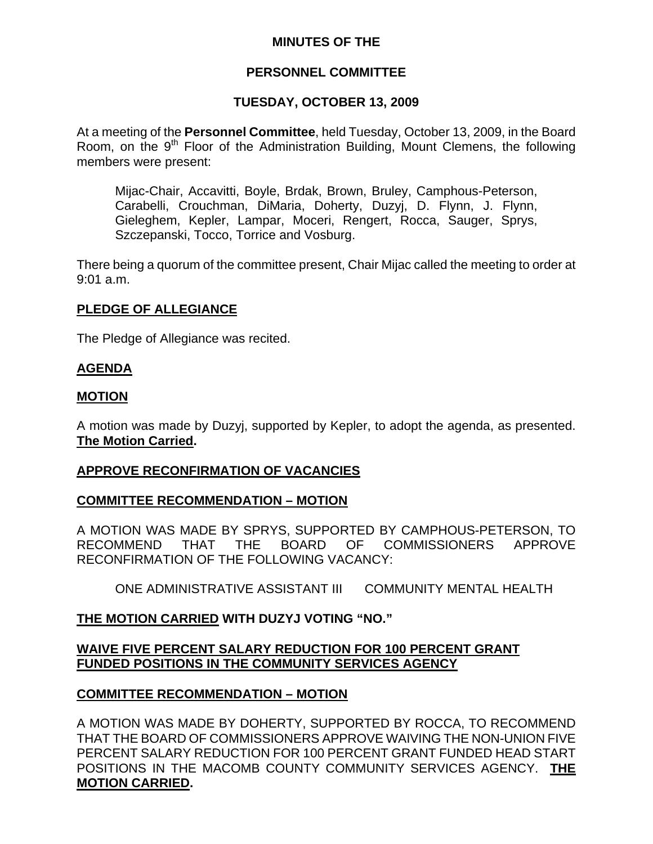## **MINUTES OF THE**

# **PERSONNEL COMMITTEE**

## **TUESDAY, OCTOBER 13, 2009**

At a meeting of the **Personnel Committee**, held Tuesday, October 13, 2009, in the Board Room, on the 9<sup>th</sup> Floor of the Administration Building, Mount Clemens, the following members were present:

Mijac-Chair, Accavitti, Boyle, Brdak, Brown, Bruley, Camphous-Peterson, Carabelli, Crouchman, DiMaria, Doherty, Duzyj, D. Flynn, J. Flynn, Gieleghem, Kepler, Lampar, Moceri, Rengert, Rocca, Sauger, Sprys, Szczepanski, Tocco, Torrice and Vosburg.

There being a quorum of the committee present, Chair Mijac called the meeting to order at 9:01 a.m.

## **PLEDGE OF ALLEGIANCE**

The Pledge of Allegiance was recited.

## **AGENDA**

#### **MOTION**

A motion was made by Duzyj, supported by Kepler, to adopt the agenda, as presented. **The Motion Carried.** 

## **APPROVE RECONFIRMATION OF VACANCIES**

## **COMMITTEE RECOMMENDATION – MOTION**

A MOTION WAS MADE BY SPRYS, SUPPORTED BY CAMPHOUS-PETERSON, TO RECOMMEND THAT THE BOARD OF COMMISSIONERS APPROVE RECONFIRMATION OF THE FOLLOWING VACANCY:

ONE ADMINISTRATIVE ASSISTANT III COMMUNITY MENTAL HEALTH

## **THE MOTION CARRIED WITH DUZYJ VOTING "NO."**

## **WAIVE FIVE PERCENT SALARY REDUCTION FOR 100 PERCENT GRANT FUNDED POSITIONS IN THE COMMUNITY SERVICES AGENCY**

## **COMMITTEE RECOMMENDATION – MOTION**

A MOTION WAS MADE BY DOHERTY, SUPPORTED BY ROCCA, TO RECOMMEND THAT THE BOARD OF COMMISSIONERS APPROVE WAIVING THE NON-UNION FIVE PERCENT SALARY REDUCTION FOR 100 PERCENT GRANT FUNDED HEAD START POSITIONS IN THE MACOMB COUNTY COMMUNITY SERVICES AGENCY. **THE MOTION CARRIED.**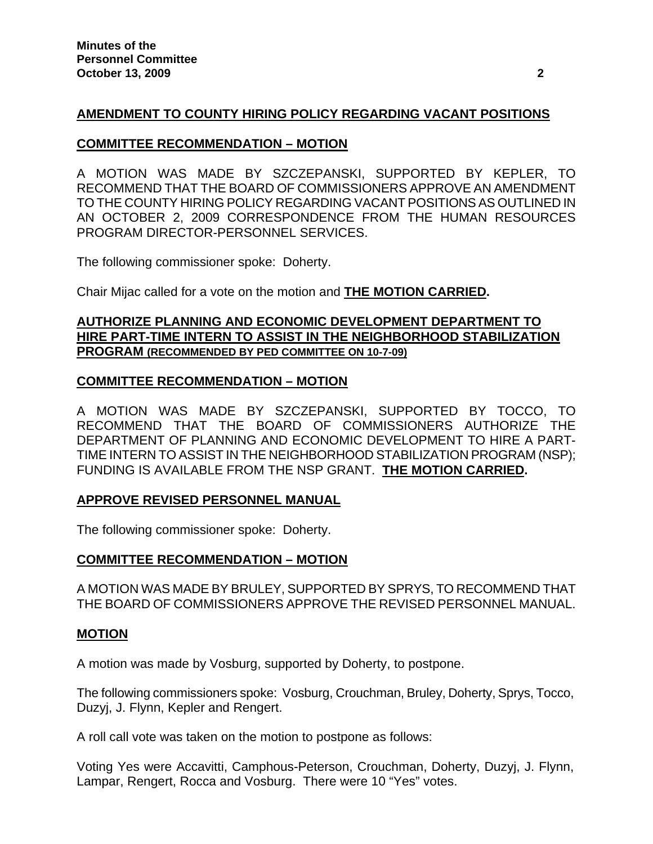## **AMENDMENT TO COUNTY HIRING POLICY REGARDING VACANT POSITIONS**

### **COMMITTEE RECOMMENDATION – MOTION**

A MOTION WAS MADE BY SZCZEPANSKI, SUPPORTED BY KEPLER, TO RECOMMEND THAT THE BOARD OF COMMISSIONERS APPROVE AN AMENDMENT TO THE COUNTY HIRING POLICY REGARDING VACANT POSITIONS AS OUTLINED IN AN OCTOBER 2, 2009 CORRESPONDENCE FROM THE HUMAN RESOURCES PROGRAM DIRECTOR-PERSONNEL SERVICES.

The following commissioner spoke: Doherty.

Chair Mijac called for a vote on the motion and **THE MOTION CARRIED.** 

## **AUTHORIZE PLANNING AND ECONOMIC DEVELOPMENT DEPARTMENT TO HIRE PART-TIME INTERN TO ASSIST IN THE NEIGHBORHOOD STABILIZATION PROGRAM (RECOMMENDED BY PED COMMITTEE ON 10-7-09)**

#### **COMMITTEE RECOMMENDATION – MOTION**

A MOTION WAS MADE BY SZCZEPANSKI, SUPPORTED BY TOCCO, TO RECOMMEND THAT THE BOARD OF COMMISSIONERS AUTHORIZE THE DEPARTMENT OF PLANNING AND ECONOMIC DEVELOPMENT TO HIRE A PART-TIME INTERN TO ASSIST IN THE NEIGHBORHOOD STABILIZATION PROGRAM (NSP); FUNDING IS AVAILABLE FROM THE NSP GRANT. **THE MOTION CARRIED.** 

## **APPROVE REVISED PERSONNEL MANUAL**

The following commissioner spoke: Doherty.

## **COMMITTEE RECOMMENDATION – MOTION**

A MOTION WAS MADE BY BRULEY, SUPPORTED BY SPRYS, TO RECOMMEND THAT THE BOARD OF COMMISSIONERS APPROVE THE REVISED PERSONNEL MANUAL.

#### **MOTION**

A motion was made by Vosburg, supported by Doherty, to postpone.

The following commissioners spoke: Vosburg, Crouchman, Bruley, Doherty, Sprys, Tocco, Duzyj, J. Flynn, Kepler and Rengert.

A roll call vote was taken on the motion to postpone as follows:

Voting Yes were Accavitti, Camphous-Peterson, Crouchman, Doherty, Duzyj, J. Flynn, Lampar, Rengert, Rocca and Vosburg. There were 10 "Yes" votes.